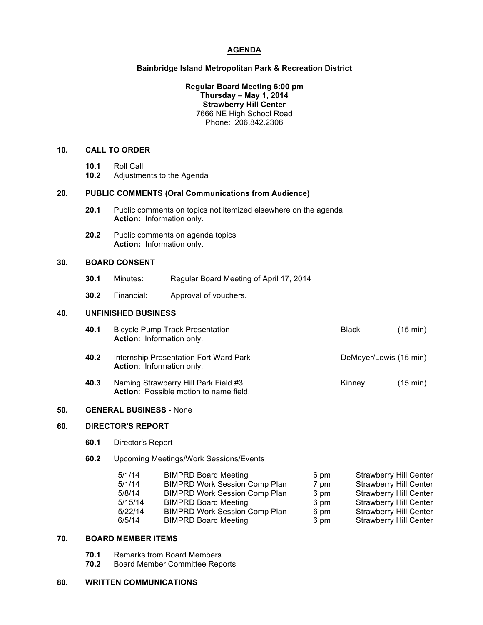# **AGENDA**

### **Bainbridge Island Metropolitan Park & Recreation District**

## **Regular Board Meeting 6:00 pm Thursday – May 1, 2014 Strawberry Hill Center** 7666 NE High School Road Phone: 206.842.2306

#### **10. CALL TO ORDER**

- **10.1** Roll Call
- **10.2** Adjustments to the Agenda

#### **20. PUBLIC COMMENTS (Oral Communications from Audience)**

- **20.1** Public comments on topics not itemized elsewhere on the agenda **Action:** Information only.
- **20.2** Public comments on agenda topics **Action:** Information only.

## **30. BOARD CONSENT**

- **30.1** Minutes: Regular Board Meeting of April 17, 2014
- **30.2** Financial: Approval of vouchers.

# **40. UNFINISHED BUSINESS**

| 40.1 | <b>Bicycle Pump Track Presentation</b><br>Action: Information only.                   | <b>Black</b>           | $(15 \text{ min})$ |
|------|---------------------------------------------------------------------------------------|------------------------|--------------------|
| 40.2 | Internship Presentation Fort Ward Park<br><b>Action:</b> Information only.            | DeMeyer/Lewis (15 min) |                    |
| 40.3 | Naming Strawberry Hill Park Field #3<br><b>Action:</b> Possible motion to name field. | Kinney                 | $(15 \text{ min})$ |

## **50. GENERAL BUSINESS** - None

## **60. DIRECTOR'S REPORT**

- **60.1** Director's Report
- **60.2** Upcoming Meetings/Work Sessions/Events

| 5/1/14  | <b>BIMPRD Board Meeting</b>          | 6 pm | <b>Strawberry Hill Center</b> |
|---------|--------------------------------------|------|-------------------------------|
| 5/1/14  | <b>BIMPRD Work Session Comp Plan</b> | 7 pm | <b>Strawberry Hill Center</b> |
| 5/8/14  | <b>BIMPRD Work Session Comp Plan</b> | 6 pm | <b>Strawberry Hill Center</b> |
| 5/15/14 | <b>BIMPRD Board Meeting</b>          | 6 pm | <b>Strawberry Hill Center</b> |
| 5/22/14 | <b>BIMPRD Work Session Comp Plan</b> | 6 pm | <b>Strawberry Hill Center</b> |
| 6/5/14  | <b>BIMPRD Board Meeting</b>          | 6 pm | <b>Strawberry Hill Center</b> |
|         |                                      |      |                               |

# **70. BOARD MEMBER ITEMS**

- **70.1** Remarks from Board Members
- **70.2** Board Member Committee Reports

#### **80. WRITTEN COMMUNICATIONS**